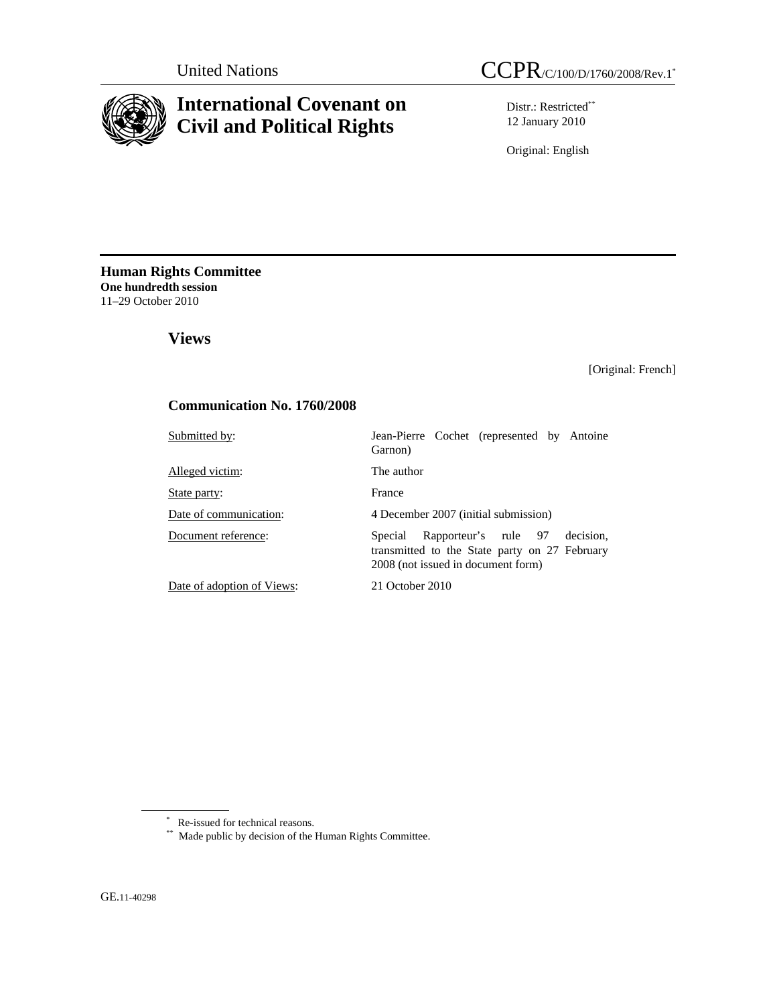



# **International Covenant on Civil and Political Rights**

Distr.: Restricted\*\* 12 January 2010

Original: English

**Human Rights Committee One hundredth session**  11–29 October 2010

 **Views** 

[Original: French]

# **Communication No. 1760/2008**

| Submitted by:              | Jean-Pierre Cochet (represented by Antoine<br>Garnon)                                                                               |  |  |  |  |  |
|----------------------------|-------------------------------------------------------------------------------------------------------------------------------------|--|--|--|--|--|
| Alleged victim:            | The author                                                                                                                          |  |  |  |  |  |
| State party:               | France                                                                                                                              |  |  |  |  |  |
| Date of communication:     | 4 December 2007 (initial submission)                                                                                                |  |  |  |  |  |
| Document reference:        | Rapporteur's rule 97<br>decision.<br>Special<br>transmitted to the State party on 27 February<br>2008 (not issued in document form) |  |  |  |  |  |
| Date of adoption of Views: | 21 October 2010                                                                                                                     |  |  |  |  |  |

\*\* Made public by decision of the Human Rights Committee.

<sup>\*</sup> Re-issued for technical reasons.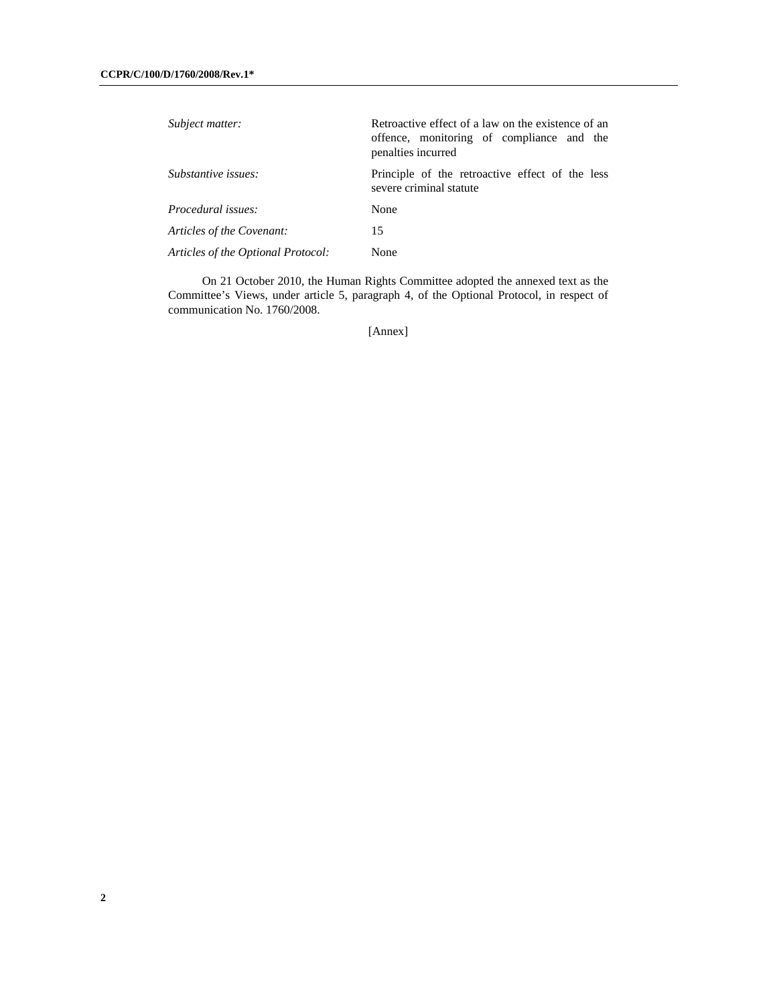| Subject matter:                    | Retroactive effect of a law on the existence of an<br>offence, monitoring of compliance and the<br>penalties incurred |  |  |  |  |
|------------------------------------|-----------------------------------------------------------------------------------------------------------------------|--|--|--|--|
| Substantive issues:                | Principle of the retroactive effect of the less<br>severe criminal statute                                            |  |  |  |  |
| <i>Procedural issues:</i>          | None                                                                                                                  |  |  |  |  |
| Articles of the Covenant:          | 15                                                                                                                    |  |  |  |  |
| Articles of the Optional Protocol: | None                                                                                                                  |  |  |  |  |

 On 21 October 2010, the Human Rights Committee adopted the annexed text as the Committee's Views, under article 5, paragraph 4, of the Optional Protocol, in respect of communication No. 1760/2008.

[Annex]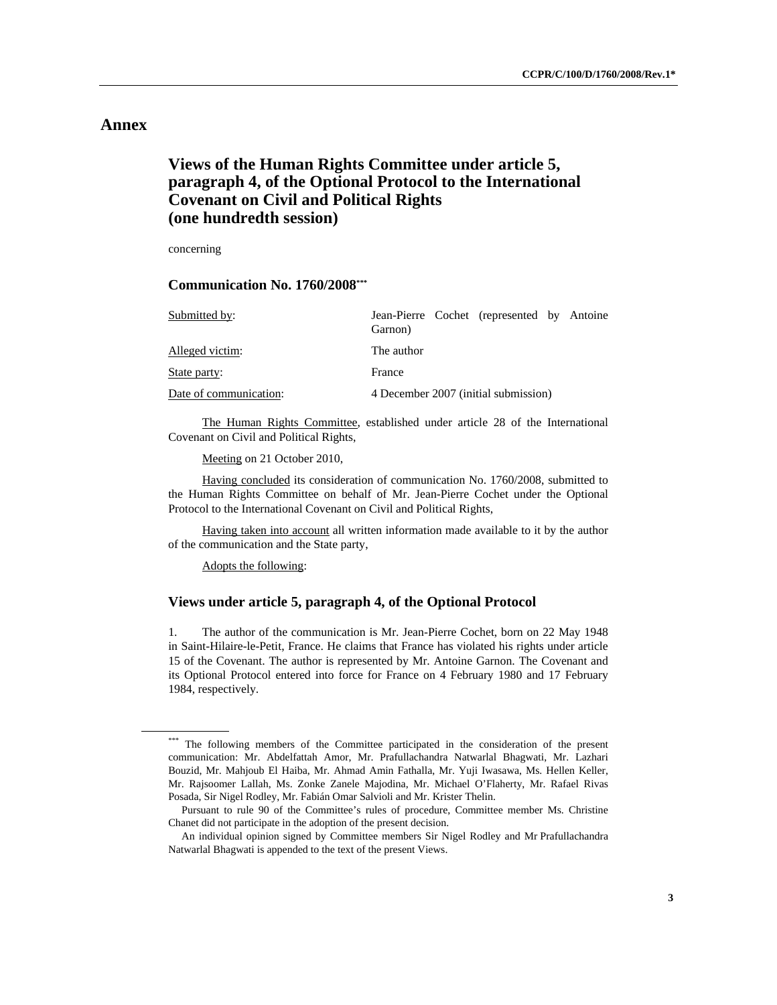# **Annex**

# **Views of the Human Rights Committee under article 5, paragraph 4, of the Optional Protocol to the International Covenant on Civil and Political Rights (one hundredth session)**

concerning

 **Communication No. 1760/2008\*\*\***

| Submitted by:          | Garnon)                              |  | Jean-Pierre Cochet (represented by Antoine |  |  |  |  |  |
|------------------------|--------------------------------------|--|--------------------------------------------|--|--|--|--|--|
| Alleged victim:        | The author                           |  |                                            |  |  |  |  |  |
| State party:           | France                               |  |                                            |  |  |  |  |  |
| Date of communication: | 4 December 2007 (initial submission) |  |                                            |  |  |  |  |  |

 The Human Rights Committee, established under article 28 of the International Covenant on Civil and Political Rights,

Meeting on 21 October 2010,

 Having concluded its consideration of communication No. 1760/2008, submitted to the Human Rights Committee on behalf of Mr. Jean-Pierre Cochet under the Optional Protocol to the International Covenant on Civil and Political Rights,

 Having taken into account all written information made available to it by the author of the communication and the State party,

Adopts the following:

### **Views under article 5, paragraph 4, of the Optional Protocol**

1. The author of the communication is Mr. Jean-Pierre Cochet, born on 22 May 1948 in Saint-Hilaire-le-Petit, France. He claims that France has violated his rights under article 15 of the Covenant. The author is represented by Mr. Antoine Garnon. The Covenant and its Optional Protocol entered into force for France on 4 February 1980 and 17 February 1984, respectively.

<sup>\*\*\*</sup> The following members of the Committee participated in the consideration of the present communication: Mr. Abdelfattah Amor, Mr. Prafullachandra Natwarlal Bhagwati, Mr. Lazhari Bouzid, Mr. Mahjoub El Haiba, Mr. Ahmad Amin Fathalla, Mr. Yuji Iwasawa, Ms. Hellen Keller, Mr. Rajsoomer Lallah, Ms. Zonke Zanele Majodina, Mr. Michael O'Flaherty, Mr. Rafael Rivas Posada, Sir Nigel Rodley, Mr. Fabián Omar Salvioli and Mr. Krister Thelin.

Pursuant to rule 90 of the Committee's rules of procedure, Committee member Ms. Christine Chanet did not participate in the adoption of the present decision.

An individual opinion signed by Committee members Sir Nigel Rodley and Mr Prafullachandra Natwarlal Bhagwati is appended to the text of the present Views.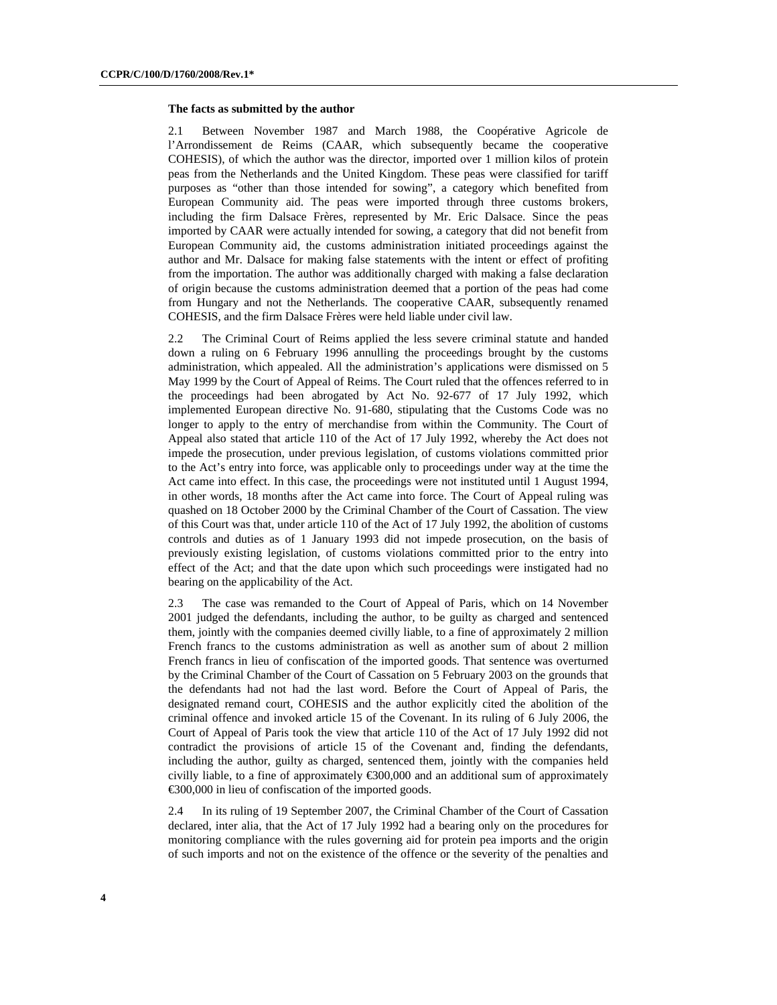#### **The facts as submitted by the author**

2.1 Between November 1987 and March 1988, the Coopérative Agricole de l'Arrondissement de Reims (CAAR, which subsequently became the cooperative COHESIS), of which the author was the director, imported over 1 million kilos of protein peas from the Netherlands and the United Kingdom. These peas were classified for tariff purposes as "other than those intended for sowing", a category which benefited from European Community aid. The peas were imported through three customs brokers, including the firm Dalsace Frères, represented by Mr. Eric Dalsace. Since the peas imported by CAAR were actually intended for sowing, a category that did not benefit from European Community aid, the customs administration initiated proceedings against the author and Mr. Dalsace for making false statements with the intent or effect of profiting from the importation. The author was additionally charged with making a false declaration of origin because the customs administration deemed that a portion of the peas had come from Hungary and not the Netherlands. The cooperative CAAR, subsequently renamed COHESIS, and the firm Dalsace Frères were held liable under civil law.

2.2 The Criminal Court of Reims applied the less severe criminal statute and handed down a ruling on 6 February 1996 annulling the proceedings brought by the customs administration, which appealed. All the administration's applications were dismissed on 5 May 1999 by the Court of Appeal of Reims. The Court ruled that the offences referred to in the proceedings had been abrogated by Act No. 92-677 of 17 July 1992, which implemented European directive No. 91-680, stipulating that the Customs Code was no longer to apply to the entry of merchandise from within the Community. The Court of Appeal also stated that article 110 of the Act of 17 July 1992, whereby the Act does not impede the prosecution, under previous legislation, of customs violations committed prior to the Act's entry into force, was applicable only to proceedings under way at the time the Act came into effect. In this case, the proceedings were not instituted until 1 August 1994, in other words, 18 months after the Act came into force. The Court of Appeal ruling was quashed on 18 October 2000 by the Criminal Chamber of the Court of Cassation. The view of this Court was that, under article 110 of the Act of 17 July 1992, the abolition of customs controls and duties as of 1 January 1993 did not impede prosecution, on the basis of previously existing legislation, of customs violations committed prior to the entry into effect of the Act; and that the date upon which such proceedings were instigated had no bearing on the applicability of the Act.

2.3 The case was remanded to the Court of Appeal of Paris, which on 14 November 2001 judged the defendants, including the author, to be guilty as charged and sentenced them, jointly with the companies deemed civilly liable, to a fine of approximately 2 million French francs to the customs administration as well as another sum of about 2 million French francs in lieu of confiscation of the imported goods. That sentence was overturned by the Criminal Chamber of the Court of Cassation on 5 February 2003 on the grounds that the defendants had not had the last word. Before the Court of Appeal of Paris, the designated remand court, COHESIS and the author explicitly cited the abolition of the criminal offence and invoked article 15 of the Covenant. In its ruling of 6 July 2006, the Court of Appeal of Paris took the view that article 110 of the Act of 17 July 1992 did not contradict the provisions of article 15 of the Covenant and, finding the defendants, including the author, guilty as charged, sentenced them, jointly with the companies held civilly liable, to a fine of approximately €300,000 and an additional sum of approximately €300,000 in lieu of confiscation of the imported goods.

2.4 In its ruling of 19 September 2007, the Criminal Chamber of the Court of Cassation declared, inter alia, that the Act of 17 July 1992 had a bearing only on the procedures for monitoring compliance with the rules governing aid for protein pea imports and the origin of such imports and not on the existence of the offence or the severity of the penalties and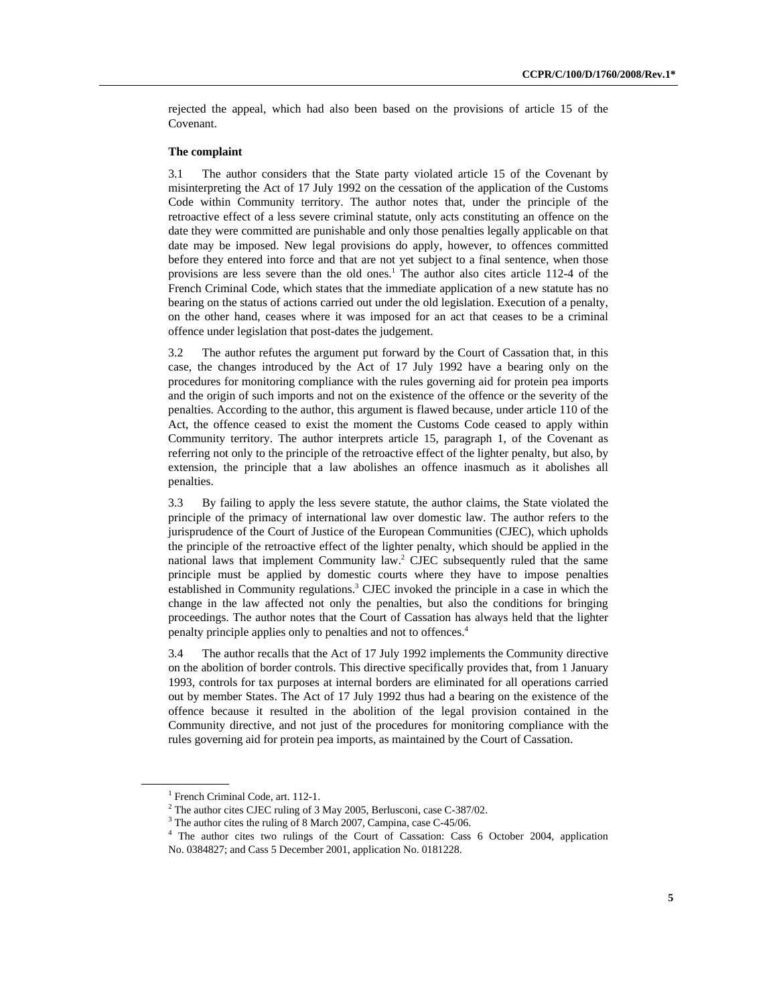rejected the appeal, which had also been based on the provisions of article 15 of the Covenant.

### **The complaint**

3.1 The author considers that the State party violated article 15 of the Covenant by misinterpreting the Act of 17 July 1992 on the cessation of the application of the Customs Code within Community territory. The author notes that, under the principle of the retroactive effect of a less severe criminal statute, only acts constituting an offence on the date they were committed are punishable and only those penalties legally applicable on that date may be imposed. New legal provisions do apply, however, to offences committed before they entered into force and that are not yet subject to a final sentence, when those provisions are less severe than the old ones.<sup>1</sup> The author also cites article 112-4 of the French Criminal Code, which states that the immediate application of a new statute has no bearing on the status of actions carried out under the old legislation. Execution of a penalty, on the other hand, ceases where it was imposed for an act that ceases to be a criminal offence under legislation that post-dates the judgement.

3.2 The author refutes the argument put forward by the Court of Cassation that, in this case, the changes introduced by the Act of 17 July 1992 have a bearing only on the procedures for monitoring compliance with the rules governing aid for protein pea imports and the origin of such imports and not on the existence of the offence or the severity of the penalties. According to the author, this argument is flawed because, under article 110 of the Act, the offence ceased to exist the moment the Customs Code ceased to apply within Community territory. The author interprets article 15, paragraph 1, of the Covenant as referring not only to the principle of the retroactive effect of the lighter penalty, but also, by extension, the principle that a law abolishes an offence inasmuch as it abolishes all penalties.

3.3 By failing to apply the less severe statute, the author claims, the State violated the principle of the primacy of international law over domestic law. The author refers to the jurisprudence of the Court of Justice of the European Communities (CJEC), which upholds the principle of the retroactive effect of the lighter penalty, which should be applied in the national laws that implement Community law.<sup>2</sup> CJEC subsequently ruled that the same principle must be applied by domestic courts where they have to impose penalties established in Community regulations.<sup>3</sup> CJEC invoked the principle in a case in which the change in the law affected not only the penalties, but also the conditions for bringing proceedings. The author notes that the Court of Cassation has always held that the lighter penalty principle applies only to penalties and not to offences.4

3.4 The author recalls that the Act of 17 July 1992 implements the Community directive on the abolition of border controls. This directive specifically provides that, from 1 January 1993, controls for tax purposes at internal borders are eliminated for all operations carried out by member States. The Act of 17 July 1992 thus had a bearing on the existence of the offence because it resulted in the abolition of the legal provision contained in the Community directive, and not just of the procedures for monitoring compliance with the rules governing aid for protein pea imports, as maintained by the Court of Cassation.

<sup>&</sup>lt;sup>1</sup> French Criminal Code, art. 112-1.

<sup>&</sup>lt;sup>2</sup> The author cites CJEC ruling of 3 May 2005, Berlusconi, case C-387/02.

<sup>&</sup>lt;sup>3</sup> The author cites the ruling of 8 March 2007, Campina, case C-45/06.

<sup>&</sup>lt;sup>4</sup> The author cites two rulings of the Court of Cassation: Cass 6 October 2004, application No. 0384827; and Cass 5 December 2001, application No. 0181228.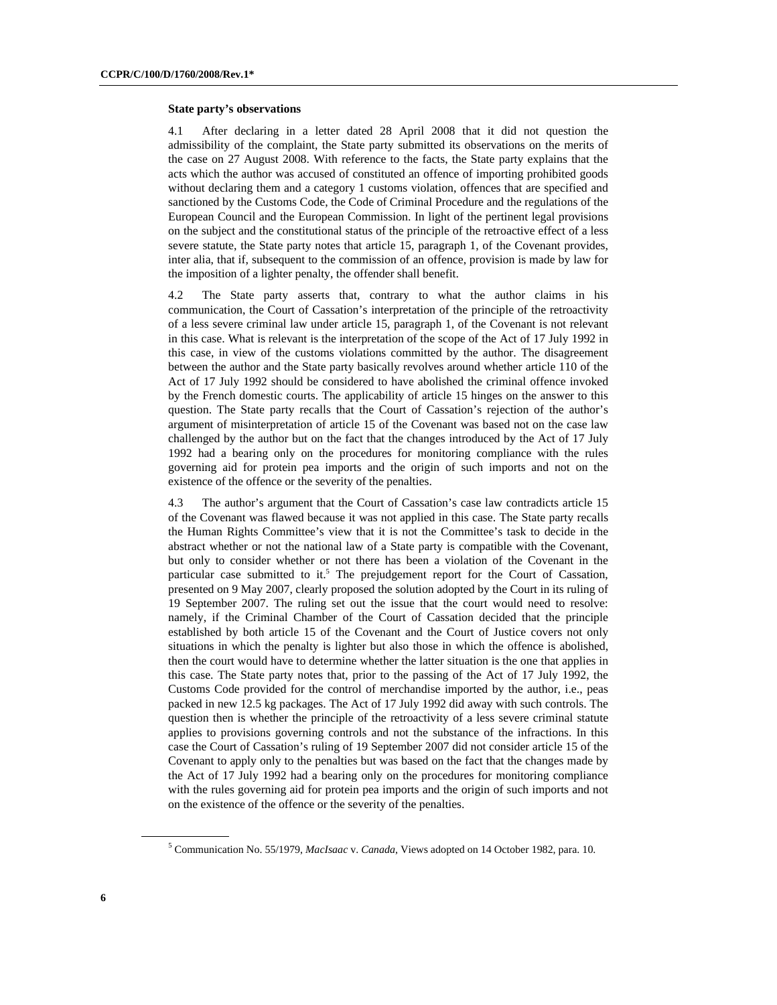#### **State party's observations**

4.1 After declaring in a letter dated 28 April 2008 that it did not question the admissibility of the complaint, the State party submitted its observations on the merits of the case on 27 August 2008. With reference to the facts, the State party explains that the acts which the author was accused of constituted an offence of importing prohibited goods without declaring them and a category 1 customs violation, offences that are specified and sanctioned by the Customs Code, the Code of Criminal Procedure and the regulations of the European Council and the European Commission. In light of the pertinent legal provisions on the subject and the constitutional status of the principle of the retroactive effect of a less severe statute, the State party notes that article 15, paragraph 1, of the Covenant provides, inter alia, that if, subsequent to the commission of an offence, provision is made by law for the imposition of a lighter penalty, the offender shall benefit.

4.2 The State party asserts that, contrary to what the author claims in his communication, the Court of Cassation's interpretation of the principle of the retroactivity of a less severe criminal law under article 15, paragraph 1, of the Covenant is not relevant in this case. What is relevant is the interpretation of the scope of the Act of 17 July 1992 in this case, in view of the customs violations committed by the author. The disagreement between the author and the State party basically revolves around whether article 110 of the Act of 17 July 1992 should be considered to have abolished the criminal offence invoked by the French domestic courts. The applicability of article 15 hinges on the answer to this question. The State party recalls that the Court of Cassation's rejection of the author's argument of misinterpretation of article 15 of the Covenant was based not on the case law challenged by the author but on the fact that the changes introduced by the Act of 17 July 1992 had a bearing only on the procedures for monitoring compliance with the rules governing aid for protein pea imports and the origin of such imports and not on the existence of the offence or the severity of the penalties.

4.3 The author's argument that the Court of Cassation's case law contradicts article 15 of the Covenant was flawed because it was not applied in this case. The State party recalls the Human Rights Committee's view that it is not the Committee's task to decide in the abstract whether or not the national law of a State party is compatible with the Covenant, but only to consider whether or not there has been a violation of the Covenant in the particular case submitted to it.<sup>5</sup> The prejudgement report for the Court of Cassation, presented on 9 May 2007, clearly proposed the solution adopted by the Court in its ruling of 19 September 2007. The ruling set out the issue that the court would need to resolve: namely, if the Criminal Chamber of the Court of Cassation decided that the principle established by both article 15 of the Covenant and the Court of Justice covers not only situations in which the penalty is lighter but also those in which the offence is abolished, then the court would have to determine whether the latter situation is the one that applies in this case. The State party notes that, prior to the passing of the Act of 17 July 1992, the Customs Code provided for the control of merchandise imported by the author, i.e., peas packed in new 12.5 kg packages. The Act of 17 July 1992 did away with such controls. The question then is whether the principle of the retroactivity of a less severe criminal statute applies to provisions governing controls and not the substance of the infractions. In this case the Court of Cassation's ruling of 19 September 2007 did not consider article 15 of the Covenant to apply only to the penalties but was based on the fact that the changes made by the Act of 17 July 1992 had a bearing only on the procedures for monitoring compliance with the rules governing aid for protein pea imports and the origin of such imports and not on the existence of the offence or the severity of the penalties.

<sup>5</sup> Communication No. 55/1979, *MacIsaac* v. *Canada*, Views adopted on 14 October 1982, para. 10.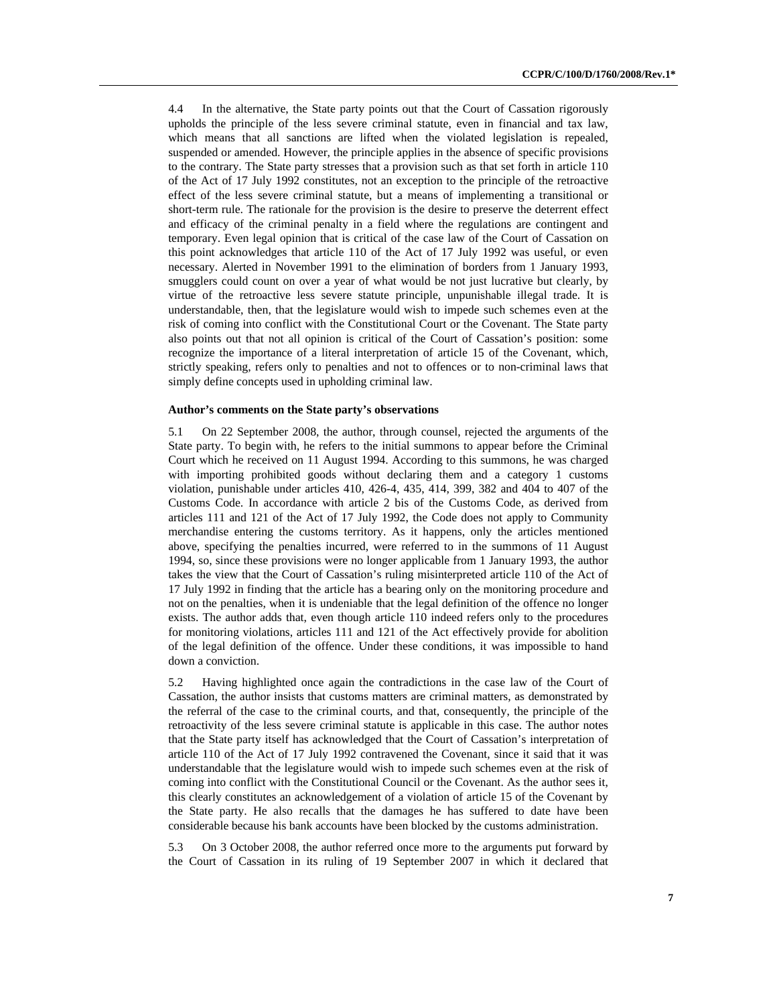4.4 In the alternative, the State party points out that the Court of Cassation rigorously upholds the principle of the less severe criminal statute, even in financial and tax law, which means that all sanctions are lifted when the violated legislation is repealed, suspended or amended. However, the principle applies in the absence of specific provisions to the contrary. The State party stresses that a provision such as that set forth in article 110 of the Act of 17 July 1992 constitutes, not an exception to the principle of the retroactive effect of the less severe criminal statute, but a means of implementing a transitional or short-term rule. The rationale for the provision is the desire to preserve the deterrent effect and efficacy of the criminal penalty in a field where the regulations are contingent and temporary. Even legal opinion that is critical of the case law of the Court of Cassation on this point acknowledges that article 110 of the Act of 17 July 1992 was useful, or even necessary. Alerted in November 1991 to the elimination of borders from 1 January 1993, smugglers could count on over a year of what would be not just lucrative but clearly, by virtue of the retroactive less severe statute principle, unpunishable illegal trade. It is understandable, then, that the legislature would wish to impede such schemes even at the risk of coming into conflict with the Constitutional Court or the Covenant. The State party also points out that not all opinion is critical of the Court of Cassation's position: some recognize the importance of a literal interpretation of article 15 of the Covenant, which, strictly speaking, refers only to penalties and not to offences or to non-criminal laws that simply define concepts used in upholding criminal law.

### **Author's comments on the State party's observations**

5.1 On 22 September 2008, the author, through counsel, rejected the arguments of the State party. To begin with, he refers to the initial summons to appear before the Criminal Court which he received on 11 August 1994. According to this summons, he was charged with importing prohibited goods without declaring them and a category 1 customs violation, punishable under articles 410, 426-4, 435, 414, 399, 382 and 404 to 407 of the Customs Code. In accordance with article 2 bis of the Customs Code, as derived from articles 111 and 121 of the Act of 17 July 1992, the Code does not apply to Community merchandise entering the customs territory. As it happens, only the articles mentioned above, specifying the penalties incurred, were referred to in the summons of 11 August 1994, so, since these provisions were no longer applicable from 1 January 1993, the author takes the view that the Court of Cassation's ruling misinterpreted article 110 of the Act of 17 July 1992 in finding that the article has a bearing only on the monitoring procedure and not on the penalties, when it is undeniable that the legal definition of the offence no longer exists. The author adds that, even though article 110 indeed refers only to the procedures for monitoring violations, articles 111 and 121 of the Act effectively provide for abolition of the legal definition of the offence. Under these conditions, it was impossible to hand down a conviction.

5.2 Having highlighted once again the contradictions in the case law of the Court of Cassation, the author insists that customs matters are criminal matters, as demonstrated by the referral of the case to the criminal courts, and that, consequently, the principle of the retroactivity of the less severe criminal statute is applicable in this case. The author notes that the State party itself has acknowledged that the Court of Cassation's interpretation of article 110 of the Act of 17 July 1992 contravened the Covenant, since it said that it was understandable that the legislature would wish to impede such schemes even at the risk of coming into conflict with the Constitutional Council or the Covenant. As the author sees it, this clearly constitutes an acknowledgement of a violation of article 15 of the Covenant by the State party. He also recalls that the damages he has suffered to date have been considerable because his bank accounts have been blocked by the customs administration.

5.3 On 3 October 2008, the author referred once more to the arguments put forward by the Court of Cassation in its ruling of 19 September 2007 in which it declared that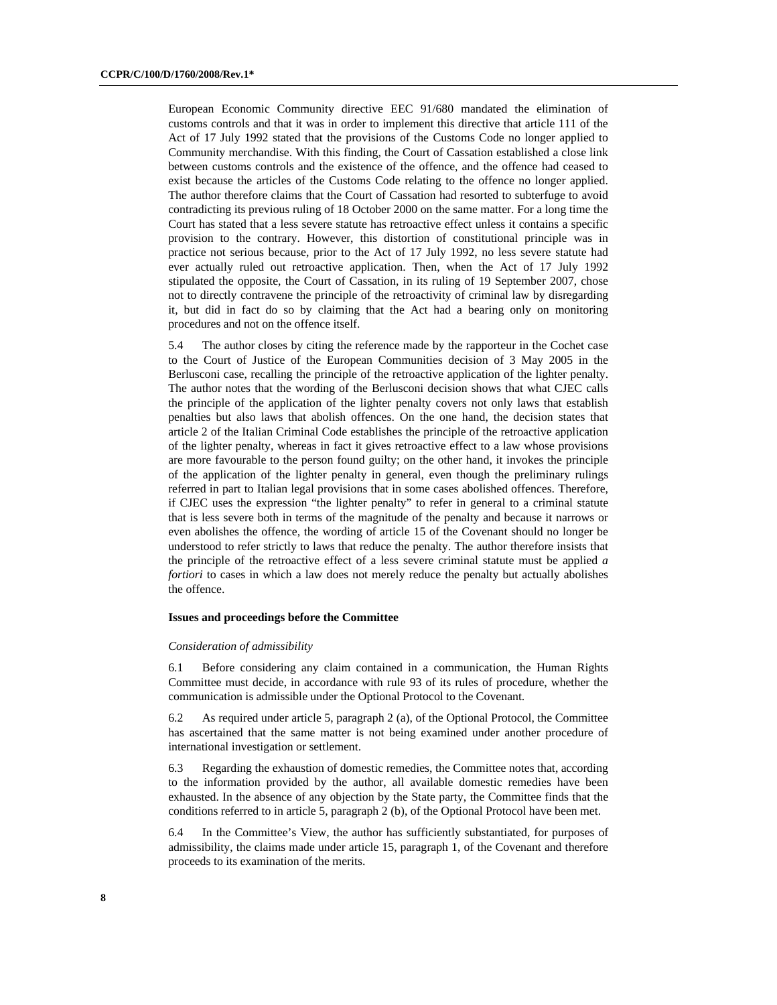European Economic Community directive EEC 91/680 mandated the elimination of customs controls and that it was in order to implement this directive that article 111 of the Act of 17 July 1992 stated that the provisions of the Customs Code no longer applied to Community merchandise. With this finding, the Court of Cassation established a close link between customs controls and the existence of the offence, and the offence had ceased to exist because the articles of the Customs Code relating to the offence no longer applied. The author therefore claims that the Court of Cassation had resorted to subterfuge to avoid contradicting its previous ruling of 18 October 2000 on the same matter. For a long time the Court has stated that a less severe statute has retroactive effect unless it contains a specific provision to the contrary. However, this distortion of constitutional principle was in practice not serious because, prior to the Act of 17 July 1992, no less severe statute had ever actually ruled out retroactive application. Then, when the Act of 17 July 1992 stipulated the opposite, the Court of Cassation, in its ruling of 19 September 2007, chose not to directly contravene the principle of the retroactivity of criminal law by disregarding it, but did in fact do so by claiming that the Act had a bearing only on monitoring procedures and not on the offence itself.

5.4 The author closes by citing the reference made by the rapporteur in the Cochet case to the Court of Justice of the European Communities decision of 3 May 2005 in the Berlusconi case, recalling the principle of the retroactive application of the lighter penalty. The author notes that the wording of the Berlusconi decision shows that what CJEC calls the principle of the application of the lighter penalty covers not only laws that establish penalties but also laws that abolish offences. On the one hand, the decision states that article 2 of the Italian Criminal Code establishes the principle of the retroactive application of the lighter penalty, whereas in fact it gives retroactive effect to a law whose provisions are more favourable to the person found guilty; on the other hand, it invokes the principle of the application of the lighter penalty in general, even though the preliminary rulings referred in part to Italian legal provisions that in some cases abolished offences. Therefore, if CJEC uses the expression "the lighter penalty" to refer in general to a criminal statute that is less severe both in terms of the magnitude of the penalty and because it narrows or even abolishes the offence, the wording of article 15 of the Covenant should no longer be understood to refer strictly to laws that reduce the penalty. The author therefore insists that the principle of the retroactive effect of a less severe criminal statute must be applied *a fortiori* to cases in which a law does not merely reduce the penalty but actually abolishes the offence.

### **Issues and proceedings before the Committee**

#### *Consideration of admissibility*

6.1 Before considering any claim contained in a communication, the Human Rights Committee must decide, in accordance with rule 93 of its rules of procedure, whether the communication is admissible under the Optional Protocol to the Covenant.

6.2 As required under article 5, paragraph 2 (a), of the Optional Protocol, the Committee has ascertained that the same matter is not being examined under another procedure of international investigation or settlement.

6.3 Regarding the exhaustion of domestic remedies, the Committee notes that, according to the information provided by the author, all available domestic remedies have been exhausted. In the absence of any objection by the State party, the Committee finds that the conditions referred to in article 5, paragraph 2 (b), of the Optional Protocol have been met.

6.4 In the Committee's View, the author has sufficiently substantiated, for purposes of admissibility, the claims made under article 15, paragraph 1, of the Covenant and therefore proceeds to its examination of the merits.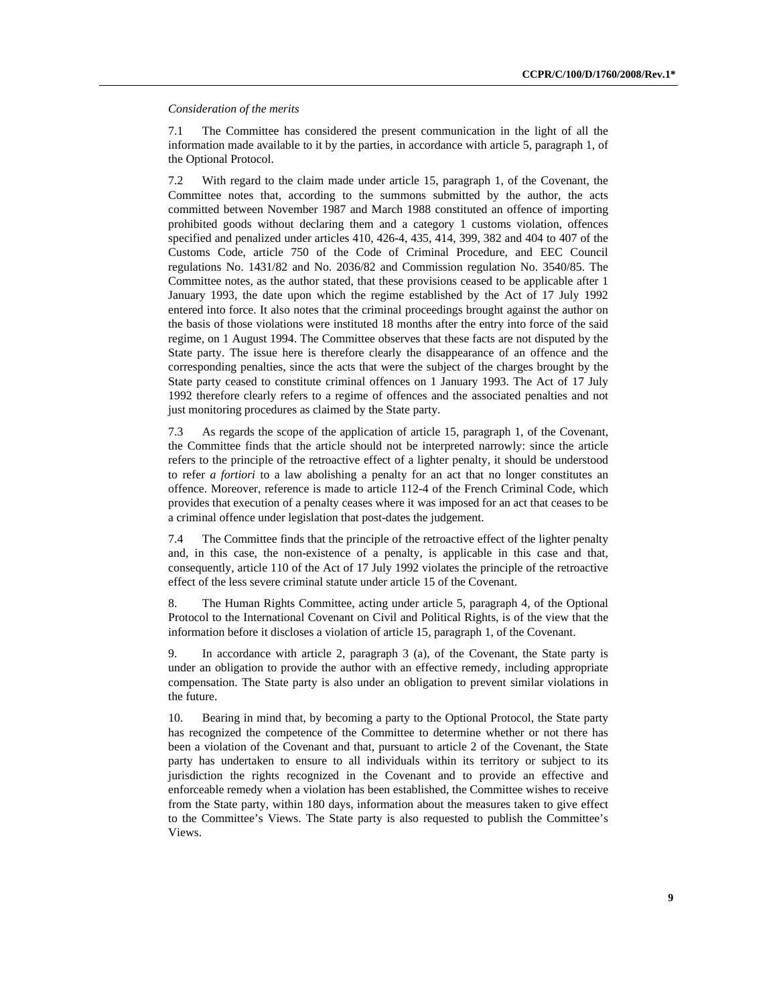*Consideration of the merits* 

7.1 The Committee has considered the present communication in the light of all the information made available to it by the parties, in accordance with article 5, paragraph 1, of the Optional Protocol.

7.2 With regard to the claim made under article 15, paragraph 1, of the Covenant, the Committee notes that, according to the summons submitted by the author, the acts committed between November 1987 and March 1988 constituted an offence of importing prohibited goods without declaring them and a category 1 customs violation, offences specified and penalized under articles 410, 426-4, 435, 414, 399, 382 and 404 to 407 of the Customs Code, article 750 of the Code of Criminal Procedure, and EEC Council regulations No. 1431/82 and No. 2036/82 and Commission regulation No. 3540/85. The Committee notes, as the author stated, that these provisions ceased to be applicable after 1 January 1993, the date upon which the regime established by the Act of 17 July 1992 entered into force. It also notes that the criminal proceedings brought against the author on the basis of those violations were instituted 18 months after the entry into force of the said regime, on 1 August 1994. The Committee observes that these facts are not disputed by the State party. The issue here is therefore clearly the disappearance of an offence and the corresponding penalties, since the acts that were the subject of the charges brought by the State party ceased to constitute criminal offences on 1 January 1993. The Act of 17 July 1992 therefore clearly refers to a regime of offences and the associated penalties and not just monitoring procedures as claimed by the State party.

7.3 As regards the scope of the application of article 15, paragraph 1, of the Covenant, the Committee finds that the article should not be interpreted narrowly: since the article refers to the principle of the retroactive effect of a lighter penalty, it should be understood to refer *a fortiori* to a law abolishing a penalty for an act that no longer constitutes an offence. Moreover, reference is made to article 112-4 of the French Criminal Code, which provides that execution of a penalty ceases where it was imposed for an act that ceases to be a criminal offence under legislation that post-dates the judgement.

7.4 The Committee finds that the principle of the retroactive effect of the lighter penalty and, in this case, the non-existence of a penalty, is applicable in this case and that, consequently, article 110 of the Act of 17 July 1992 violates the principle of the retroactive effect of the less severe criminal statute under article 15 of the Covenant.

8. The Human Rights Committee, acting under article 5, paragraph 4, of the Optional Protocol to the International Covenant on Civil and Political Rights, is of the view that the information before it discloses a violation of article 15, paragraph 1, of the Covenant.

9. In accordance with article 2, paragraph 3 (a), of the Covenant, the State party is under an obligation to provide the author with an effective remedy, including appropriate compensation. The State party is also under an obligation to prevent similar violations in the future.

10. Bearing in mind that, by becoming a party to the Optional Protocol, the State party has recognized the competence of the Committee to determine whether or not there has been a violation of the Covenant and that, pursuant to article 2 of the Covenant, the State party has undertaken to ensure to all individuals within its territory or subject to its jurisdiction the rights recognized in the Covenant and to provide an effective and enforceable remedy when a violation has been established, the Committee wishes to receive from the State party, within 180 days, information about the measures taken to give effect to the Committee's Views. The State party is also requested to publish the Committee's Views.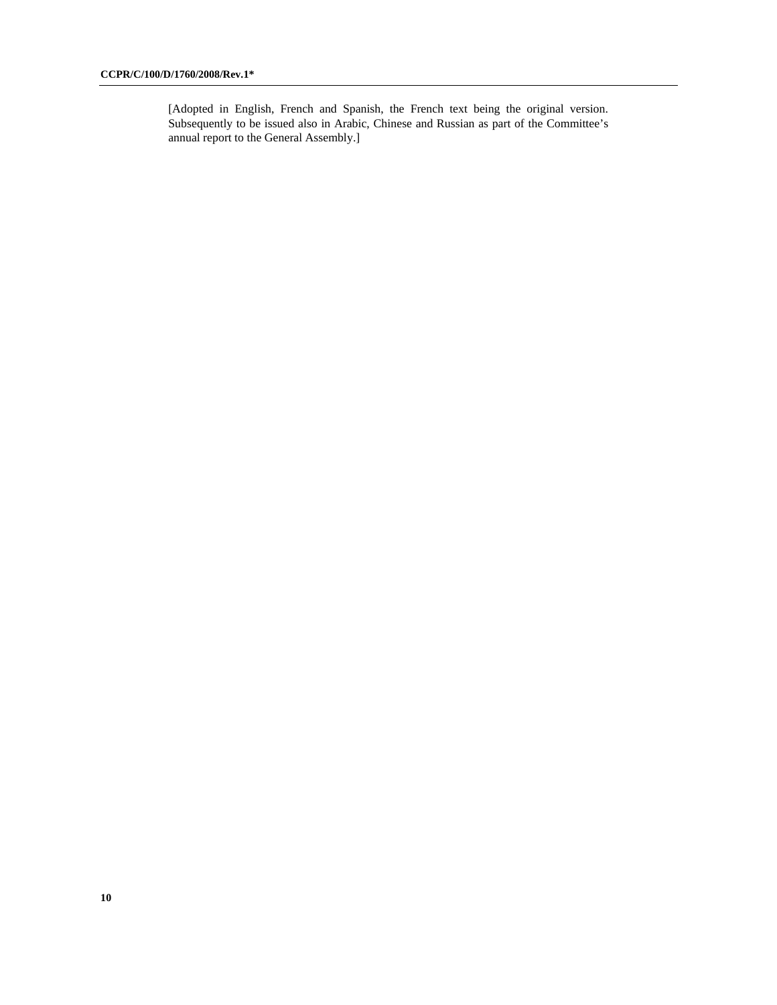[Adopted in English, French and Spanish, the French text being the original version. Subsequently to be issued also in Arabic, Chinese and Russian as part of the Committee's annual report to the General Assembly.]